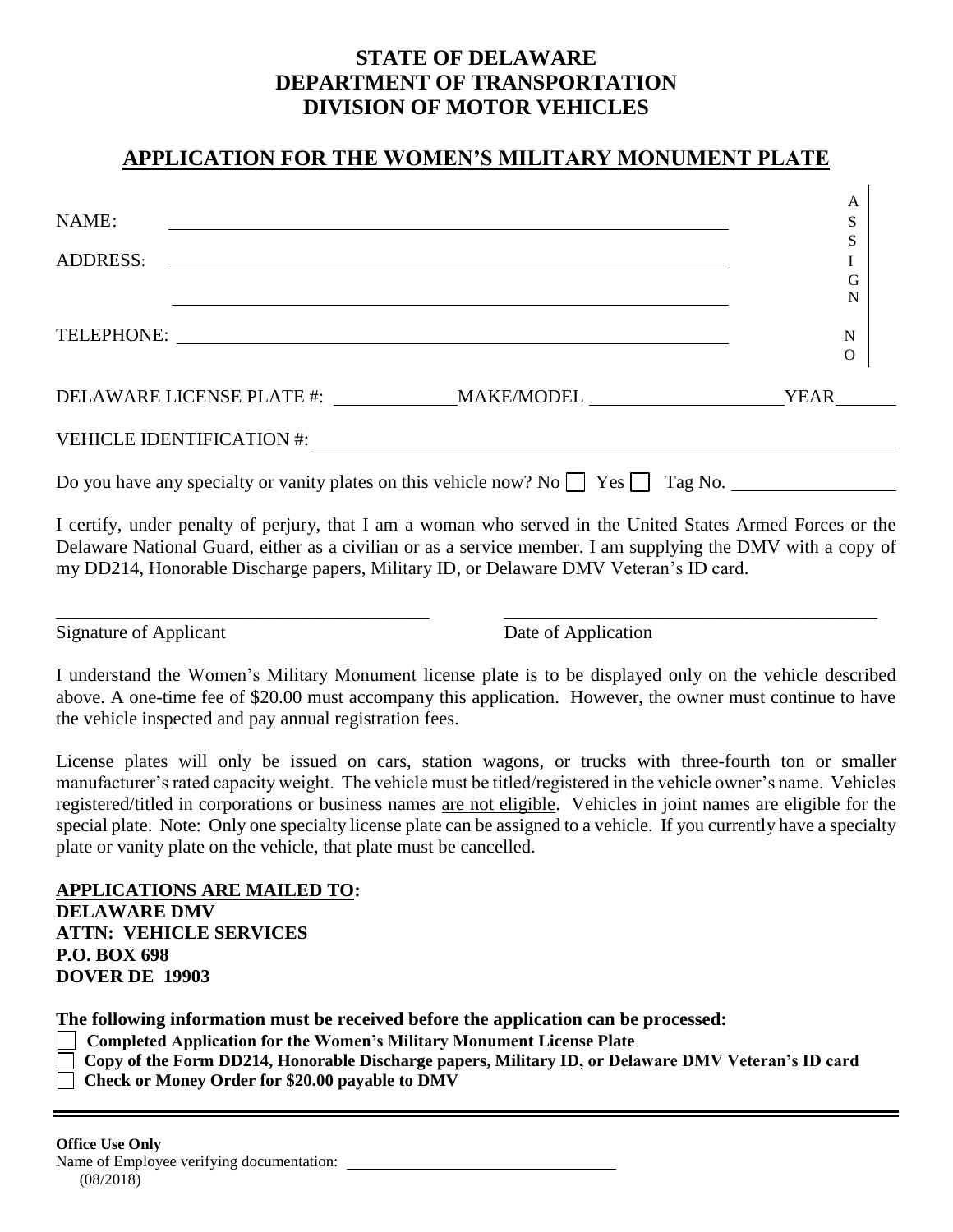## **STATE OF DELAWARE DEPARTMENT OF TRANSPORTATION DIVISION OF MOTOR VEHICLES**

## **APPLICATION FOR THE WOMEN'S MILITARY MONUMENT PLATE**

|                                                                                                                               | A           |
|-------------------------------------------------------------------------------------------------------------------------------|-------------|
| NAME:<br><u> 1980 - Andrea State Barbara, amerikan personal di sebagai personal di sebagai personal di sebagai personal d</u> | S           |
|                                                                                                                               | S           |
| ADDRESS:                                                                                                                      |             |
|                                                                                                                               | G           |
|                                                                                                                               | N           |
|                                                                                                                               |             |
| TELEPHONE:                                                                                                                    | $\mathbf N$ |
|                                                                                                                               | $\mathbf O$ |
| DELAWARE LICENSE PLATE #: ____________________MAKE/MODEL _______________________                                              | YEAR        |
|                                                                                                                               |             |
| Do you have any specialty or vanity plates on this vehicle now? No $\Box$ Yes $\Box$ Tag No.                                  |             |
| I certify, under penalty of perjury, that I am a woman who served in the United States Armed Forces or the                    |             |

Delaware National Guard, either as a civilian or as a service member. I am supplying the DMV with a copy of my DD214, Honorable Discharge papers, Military ID, or Delaware DMV Veteran's ID card.

\_\_\_\_\_\_\_\_\_\_\_\_\_\_\_\_\_\_\_\_\_\_\_\_\_\_\_\_\_\_\_\_\_\_\_\_\_\_\_\_ \_\_\_\_\_\_\_\_\_\_\_\_\_\_\_\_\_\_\_\_\_\_\_\_\_\_\_\_\_\_\_\_\_\_\_\_\_\_\_\_

Signature of Applicant Date of Application

I understand the Women's Military Monument license plate is to be displayed only on the vehicle described above. A one-time fee of \$20.00 must accompany this application. However, the owner must continue to have the vehicle inspected and pay annual registration fees.

License plates will only be issued on cars, station wagons, or trucks with three-fourth ton or smaller manufacturer's rated capacity weight. The vehicle must be titled/registered in the vehicle owner's name. Vehicles registered/titled in corporations or business names are not eligible. Vehicles in joint names are eligible for the special plate. Note: Only one specialty license plate can be assigned to a vehicle. If you currently have a specialty plate or vanity plate on the vehicle, that plate must be cancelled.

**APPLICATIONS ARE MAILED TO: DELAWARE DMV ATTN: VEHICLE SERVICES P.O. BOX 698 DOVER DE 19903**

**The following information must be received before the application can be processed:**

- **Completed Application for the Women's Military Monument License Plate**
- **Copy of the Form DD214, Honorable Discharge papers, Military ID, or Delaware DMV Veteran's ID card**
- **Check or Money Order for \$20.00 payable to DMV**